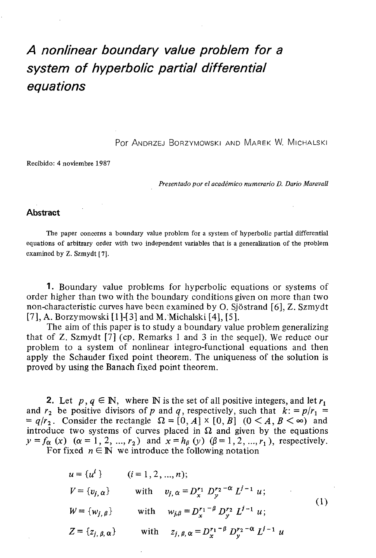## **A nonlinear boundary value problem for a system of hyperbolic partial differential equations**

Por ANDRZEJ BORZYMOWSKI AND MAREK W. MICHALSKI

Recibido: 4 noviembre 1987

Presentado por el académico numerario D. Dario Maravall

## **Abstract**

The paper concerns a boundary value problem for a system of hyperbolic partial differential equations of arbitrary order with two independent variables that is a generalization of the problem examined by Z. Szmydt [7].

1. Boundary value problems for hyperbolic equations or systems of order higher than two with the boundary conditions given on more than two non-characteristic curves have been examined by O. Sjöstrand [6], Z. Szmydt  $[7]$ , A. Borzymowski  $[1]$ - $[3]$  and M. Michalski  $[4]$ ,  $[5]$ .

The aim of this paper is to study a boundary value problem generalizing that of Z. Szmydt [7] (cp. Remarks 1 and 3 in the sequel). We reduce our problem to a system of nonlinear integro-functional equations and then apply the Schauder fixed point theorem. The uniqueness of the solution is proved by using the Banach fixed point theorem.

**2.** Let  $p, q \in \mathbb{N}$ , where N is the set of all positive integers, and let  $r_1$ and  $r_2$  be positive divisors of p and q, respectively, such that  $k: = p/r_1 =$  $= q/r<sub>2</sub>$ . Consider the rectangle  $\Omega = [0, A] \times [0, B]$   $(0 < A, B < \infty)$  and introduce two systems of curves placed in  $\Omega$  and given by the equations  $y = f_{\alpha}$  (x)  $(\alpha = 1, 2, ..., r_2)$  and  $x = h_{\beta}(y)$   $(\beta = 1, 2, ..., r_1)$ , respectively.

For fixed  $n \in \mathbb{N}$  we introduce the following notation

$$
u = \{u^{i}\}\qquad (i = 1, 2, ..., n);
$$
  
\n
$$
V = \{v_{j}, \alpha\} \qquad \text{with} \qquad v_{j}, \alpha = D_{x}^{r_{1}} D_{y}^{r_{2} - \alpha} L^{j - 1} u;
$$
  
\n
$$
W = \{w_{j}, \beta\} \qquad \text{with} \qquad w_{j}, \beta = D_{x}^{r_{1} - \beta} D_{y}^{r_{2}} L^{j - 1} u;
$$
  
\n
$$
Z = \{z_{j}, \beta, \alpha\} \qquad \text{with} \qquad z_{j}, \beta, \alpha = D_{x}^{r_{1} - \beta} D_{y}^{r_{2} - \alpha} L^{j - 1} u
$$
  
\n(1)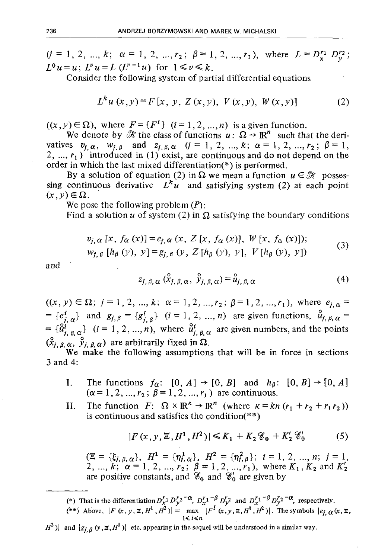$(j = 1, 2, ..., k; \alpha = 1, 2, ..., r_2; \beta = 1, 2, ..., r_1)$ , where  $L = D_r^{r_1} D_x^{r_2}$ ;  $L^6 u = u$ ;  $L^v u = L (L^{v-1} u)$  for  $1 \le v \le k$ .

Consider the following system of partial differential equations

$$
L^{k}u(x, y) = F[x, y, Z(x, y), V(x, y), W(x, y)]
$$
 (2)

 $((x, y) \in \Omega)$ , where  $F = \{F^i\}$   $(i = 1, 2, ..., n)$  is a given function.

We denote by  $\mathcal{H}$  the class of functions  $u: \Omega \to \mathbb{R}^n$  such that the derivatives  $v_{i, \alpha}$ ,  $w_{i, \beta}$  and  $z_{i, \beta, \alpha}$  ( $j = 1, 2, ..., k; \alpha = 1, 2, ..., r_2; \beta = 1$ , 2, ...,  $r_1$ ) introduced in (1) exist, are continuous and do not depend on the order in which the last mixed differentiation(\*) is performed.

By a solution of equation (2) in  $\Omega$  we mean a function  $u \in \mathcal{H}$  possessing continuous derivative  $L^k u$  and satisfying system (2) at each point  $(x, y) \in \Omega$ .

We pose the following problem *(P):*

Find a solution u of system (2) in  $\Omega$  satisfying the boundary conditions

$$
v_{j,\alpha}[x, f_{\alpha}(x)] = e_{j,\alpha}(x, Z[x, f_{\alpha}(x)], W[x, f_{\alpha}(x)]);w_{j,\beta}[h_{\beta}(y), y] = g_{j,\beta}(y, Z[h_{\beta}(y), y], V[h_{\beta}(y), y])
$$
 (3)

and the state of the state of the state of the state of the state of the state of the state of the state of the state of the state of the state of the state of the state of the state of the state of the state of the state

$$
z_{j, \beta, \alpha} (\hat{x}_{j, \beta, \alpha}, \hat{y}_{j, \beta, \alpha}) = \hat{u}_{j, \beta, \alpha}
$$
 (4)

 $((x, y) \in \Omega; j = 1, 2, ..., k; \alpha = 1, 2, ..., r_2; \beta = 1, 2, ..., r_1)$ , where  $e_{i,\alpha}$  $= {e^i_{i,\alpha}}$  and  $g_{i,\beta} = {g^i_{i,\beta}}$   $(i=1, 2, ..., n)$  are given functions,  $\hat{u}_{i,\beta,\alpha} =$  $= {\hat{u}^i_{i,\beta,\alpha}}$   $(i = 1, 2, ..., n)$ , where  $\hat{u}^i_{i,\beta,\alpha}$  are given numbers, and the points  $(\hat{x}_{j, \beta, \alpha}, \hat{y}_{j, \beta, \alpha})$  are arbitrarily fixed in  $\Omega$ .

We make the following assumptions that will be in force in sections 3 and 4:

- I. The functions  $f_{\alpha}$ :  $[0, A] \rightarrow [0, B]$  and  $h_{\beta}$ :  $[0, B] \rightarrow [0, A]$  $(\alpha = 1, 2, ..., r_2; \beta = 1, 2, ..., r_1)$  are continuous.
- II. The function  $F: \Omega \times \mathbb{R}^k \to \mathbb{R}^n$  (where  $\kappa = kn (r_1 + r_2 + r_1r_2)$ ) is continuous and satisfies the condition(\*\*)

$$
|F(x, y, \Xi, H^1, H^2)| \le K_1 + K_2 \mathcal{C}_0 + K_2' \mathcal{C}_0'
$$
 (5)

 $(\Xi = {\xi_{j,\beta,\alpha}}\}, H^1 = {\eta_{j,\alpha}}\}, H^2 = {\eta_{j,\beta}}^2\}; i = 1, 2, ..., n; j = 1, 2, ..., k; \alpha = 1, 2, ..., r_2; \beta = 1, 2, ..., r_1$ , where  $K_1, K_2$  and  $K'_2$ are positive constants, and  $\mathscr{C}_0$  and  $\mathscr{C}'_0$  are given by

(\*) That is the differentiation  $D_x^r D_y^r 2^{-\alpha}$ ,  $D_x^r 1^{-\beta} D_y^r 2$  and  $D_x^r 1^{-\beta} D_y^r 2^{-\alpha}$ , respectively.

(\*\*) Above,  $|F(x, y, z, H^1, H^2)| = \max_{1 \le i \le n} |F^i(x, y, z, H^1, H^2)|$ . The symbols  $|e_{j, \alpha}(x, z, H^1, H^2)|$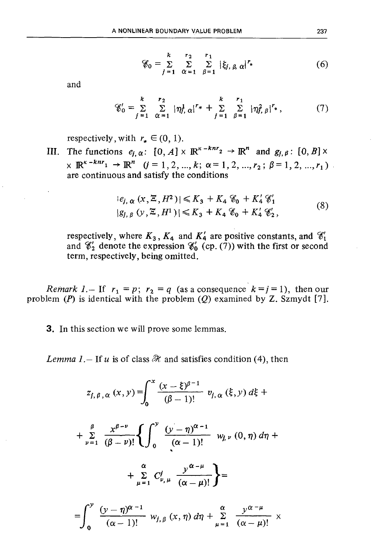$$
\mathscr{E}_0 = \sum_{j=1}^k \sum_{\alpha=1}^{r_2} \sum_{\beta=1}^{r_1} |\xi_{j,\beta,\alpha}|^{r_*} \tag{6}
$$

and

$$
\mathscr{C}'_0 = \sum_{j=1}^k \sum_{\alpha=1}^{r_2} |\eta_j^1 \alpha|^{r_*} + \sum_{j=1}^k \sum_{\beta=1}^{r_1} |\eta_j^2 \beta|^{r_*}, \qquad (7)
$$

respectively, with  $r_{\star} \in (0, 1)$ .

III. The functions  $e_{j,\alpha}$ :  $[0, A] \times \mathbb{R}^{\kappa - knr_2} \to \mathbb{R}^n$  and  $g_{j,\beta}$ :  $[0, B] \times$  $\times \mathbb{R}^{\kappa - knr_1} \to \mathbb{R}^n$   $(j = 1, 2, ..., k; \alpha = 1, 2, ..., r_2; \beta = 1, 2, ..., r_1)$ are continuous and satisfy the conditions

$$
|e_{j, \alpha} (x, \Xi, H^2)| \le K_3 + K_4 \mathcal{C}_0 + K'_4 \mathcal{C}'_1
$$
  

$$
|g_{j, \beta} (y, \Xi, H^1)| \le K_3 + K_4 \mathcal{C}_0 + K'_4 \mathcal{C}'_2,
$$
 (8)

respectively, where  $K_3$ ,  $K_4$  and  $K'_4$  are positive constants, and  $\mathcal{C}'_1$ and  $\mathcal{C}'_2$  denote the expression  $\mathcal{C}'_0$  (cp. (7)) with the first or second term, respectively, being omitted.

*Remark 1.*- If  $r_1 = p$ ;  $r_2 = q$  (as a consequence  $k = j = 1$ ), then our problem  $(P)$  is identical with the problem  $(Q)$  examined by Z. Szmydt [7].

**3.** In this section we will prove some lemmas.

Lemma 1. - If u is of class  $\mathcal{H}$  and satisfies condition (4), then

$$
z_{j,\beta,\alpha}(x,y) = \int_0^x \frac{(x-\xi)^{\beta-1}}{(\beta-1)!} v_{j,\alpha}(\xi,y) d\xi +
$$

$$
+\sum_{\nu=1}^{\beta}\frac{x^{\beta-\nu}}{(\beta-\nu)!}\left\{\int_{0}^{y}\frac{(y-\eta)^{\alpha-1}}{(\alpha-1)!}w_{j,\nu}(0,\eta)\,d\eta+\right.
$$

$$
+\sum_{\mu=1}^{\alpha} C_{\nu,\mu}^{j} \frac{y^{\alpha-\mu}}{(\alpha-\mu)!}\bigg\} =
$$

$$
=\int_0^y \frac{(y-\eta)^{\alpha-1}}{(\alpha-1)!} w_{j,\beta}(x,\eta) d\eta + \sum_{\mu=1}^{\alpha} \frac{y^{\alpha-\mu}}{(\alpha-\mu)!} x
$$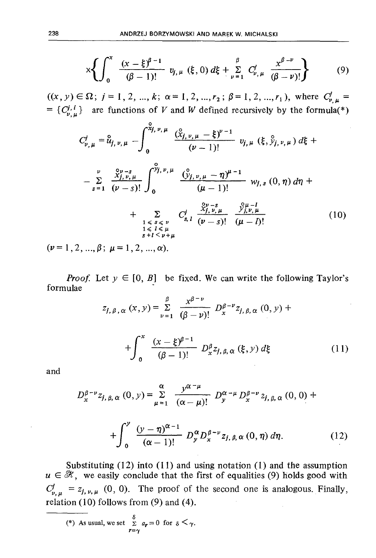$$
\times \left\{ \int_0^x \frac{(x-\xi)^{\beta-1}}{(\beta-1)!} v_{j,\mu} (\xi,0) d\xi + \sum_{\nu=1}^{\beta} C_{\nu,\mu}^j \frac{x^{\beta-\nu}}{(\beta-\nu)!} \right\} \tag{9}
$$

 $((x, y) \in \Omega; j = 1, 2, ..., k; \alpha = 1, 2, ..., r_2; \beta = 1, 2, ..., r_1)$ , where  $C_{\nu, \mu}^{j}$ =  $\{C_{\nu}^{j,i}\}\$  are functions of V and W defined recursively by the formula(\*)

$$
C_{\nu,\mu}^{j} = \hat{u}_{j,\nu,\mu} - \int_{0}^{\tilde{x}_{j,\nu,\mu}} \frac{(\hat{x}_{j,\nu,\mu} - \xi)^{\nu-1}}{(\nu-1)!} v_{j,\mu} (\xi, \hat{y}_{j,\nu,\mu}) d\xi +
$$
  

$$
- \sum_{s=1}^{\nu} \frac{\hat{x}_{j,\nu,\mu}^{\nu- s}}{(\nu-s)!} \int_{0}^{\tilde{y}_{j,\nu,\mu}} \frac{(\hat{y}_{j,\nu,\mu} - \eta)^{\mu-1}}{(\mu-1)!} w_{j,s} (0, \eta) d\eta +
$$
  

$$
+ \sum_{\substack{1 \leq s \leq \nu \\ 1 \leq l \leq \mu \\ s+l < \nu+\mu}} C_{s,\ell}^{j} \frac{\hat{x}_{j,\nu,\mu}^{\nu- s}}{(\nu-s)!} \frac{\hat{y}_{j,\nu,\mu}^{\mu-l}}{(\mu-l)!} (10)
$$

 $(\nu = 1, 2, ..., \beta; \mu = 1, 2, ..., \alpha).$ 

*Proof.* Let  $y \in [0, B]$  be fixed. We can write the following Taylor's formulae

$$
z_{j,\beta,\alpha}(x,y) = \sum_{\nu=1}^{\beta} \frac{x^{\beta-\nu}}{(\beta-\nu)!} D_x^{\beta-\nu} z_{j,\beta,\alpha}(0,y) +
$$
  
+ 
$$
\int_0^x \frac{(x-\xi)^{\beta-1}}{(\beta-1)!} D_x^{\beta} z_{j,\beta,\alpha}(\xi,y) d\xi
$$
(11)

and

$$
D_x^{\beta-\nu} z_{j,\beta,\alpha}(0, y) = \sum_{\mu=1}^{\alpha} \frac{y^{\alpha-\mu}}{(\alpha-\mu)!} D_y^{\alpha-\mu} D_x^{\beta-\nu} z_{j,\beta,\alpha}(0, 0) +
$$
  
+ 
$$
\int_0^y \frac{(y-\eta)^{\alpha-1}}{(\alpha-1)!} D_y^{\alpha} D_x^{\beta-\nu} z_{j,\beta,\alpha}(0, \eta) d\eta.
$$
 (12)

Substituting  $(12)$  into  $(11)$  and using notation  $(1)$  and the assumption  $u \in \mathcal{H}$ , we easily conclude that the first of equalities (9) holds good with  $C_{\nu,\mu}^{j} = z_{j,\nu,\mu}$  (0, 0). The proof of the second one is analogous. Finally, relation  $(10)$  follows from  $(9)$  and  $(4)$ .

(\*) As usual, we set  $\sum_{r=\gamma}^{\delta} a_r = 0$  for  $\delta < \gamma$ .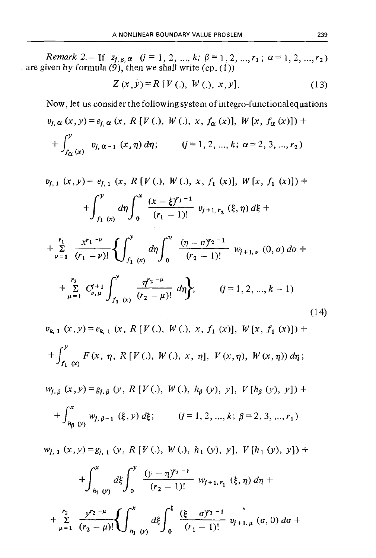Remark 2. - If  $z_{i, \beta, \alpha}$   $(i = 1, 2, ..., k; \beta = 1, 2, ..., r_1; \alpha = 1, 2, ..., r_2)$ are given by formula (9), then we shall write  $(ep. (1))$ 

$$
Z(x, y) = R [V(.), W(.), x, y].
$$
 (13)

Now, let us consider the following system of integro-functional equations

$$
v_{j,\alpha}(x, y) = e_{j,\alpha}(x, R[V(.), W(.), x, f_{\alpha}(x)], W[x, f_{\alpha}(x)]) +
$$
  
+ 
$$
\int_{f_{\alpha}(x)}^{y} v_{j,\alpha-1}(x, \eta) d\eta;
$$
  $(j = 1, 2, ..., k; \alpha = 2, 3, ..., r_2)$ 

$$
v_{j,1}(x,y) = e_{j,1}(x, R[V(.), W(.), x, f_1(x)], W[x, f_1(x)]) +
$$
  
+ 
$$
\int_{f_1}^{y} d\eta \int_{0}^{x} \frac{(x-\xi)^{r_1-1}}{(r_1-1)!} v_{j+1, r_2}(\xi, \eta) d\xi +
$$
  
+ 
$$
\sum_{\nu=1}^{r_1} \frac{x^{r_1-\nu}}{(r_1-\nu)!} \left\{ \int_{f_1(x)}^{y} d\eta \int_{0}^{\eta} \frac{(\eta-\sigma)^{r_2-1}}{(r_2-1)!} w_{j+1, \nu}(0, \sigma) d\sigma +
$$
  
+ 
$$
\sum_{\mu=1}^{r_2} C_{\nu, \mu}^{j+1} \int_{f_1(x)}^{y} \frac{\eta^{r_2-\mu}}{(r_2-\mu)!} d\eta \right\}; \qquad (j=1, 2, ..., k-1)
$$
  
(14)

$$
v_{k, 1}(x, y) = e_{k, 1}(x, R[V(.), W(.), x, f_1(x)], W[x, f_1(x)]) ++ \int_{f_1(x)}^{y} F(x, \eta, R[V(.), W(.), x, \eta], V(x, \eta), W(x, \eta)) d\eta;
$$

$$
w_{j,\beta}(x, y) = g_{j,\beta}(y, R[V(.), W(.), h_{\beta}(y), y], V[h_{\beta}(y), y]) +
$$
  
+ 
$$
\int_{h_{\beta}(y)}^{x} w_{j,\beta-1}(\xi, y) d\xi;
$$
  $(j = 1, 2, ..., k; \beta = 2, 3, ..., r_1)$ 

 $w_{i,1}(x, y) = g_{i,1}(y, R[V(.), W(.), h_1(y), y], V[h_1(y), y]) +$ 

$$
+\int_{h_1}^x \int_0^y \frac{(y-\eta)^{r_2-1}}{(r_2-1)!} w_{j+1,\,r_1}(\xi,\eta) d\eta +
$$

$$
+\sum_{\mu=1}^{r_2}\frac{y^{r_2-\mu}}{(r_2-\mu)!}\left\{\int_{h_1}^x\omega\,d\xi\right\}_0^{\xi}\frac{(\xi-\sigma)^{r_1-1}}{(r_1-1)!}\,v_{j+1,\,\mu}\,\left(\sigma,\,0\right)d\sigma\right.
$$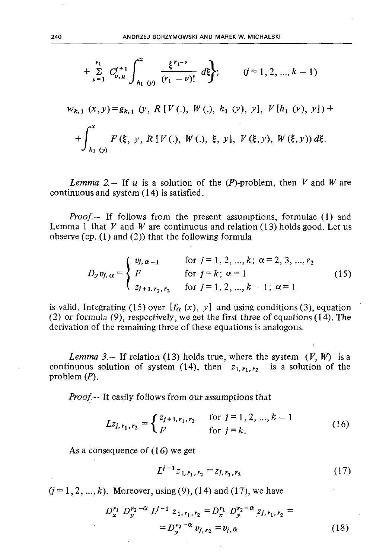$$
+\sum_{\nu=1}^{r_1} C_{\nu,\mu}^{j+1} \int_{h_1}^{x} \frac{\xi^{r_1-\nu}}{(r_1-\nu)!} d\xi;
$$
 (j = 1, 2, ..., k - 1)  
\n
$$
w_{k,1}(x, y) = g_{k,1}(y, R[V(.), W(.), h_1(y), y], V[h_1(y), y]) +
$$
\n
$$
+\int_{h_1(y)}^{x} F(\xi, y, R[V(.), W(.), \xi, y], V(\xi, y), W(\xi, y)) d\xi.
$$

Lemma 2. - If u is a solution of the  $(P)$ -problem, then V and W are continuous and system (14) is satisfied.

*Proof.* If follows from the present assumptions, formulae (1) and Lemma 1 that V and W are continuous and relation (13) holds good. Let us observe  $(cp. (1)$  and  $(2)$ ) that the following formula

$$
D_{y}v_{j,\alpha} = \begin{cases} v_{j,\alpha-1} & \text{for } j = 1, 2, ..., k; \alpha = 2, 3, ..., r_{2} \\ F & \text{for } j = k; \alpha = 1 \\ z_{j+1,r_{1},r_{2}} & \text{for } j = 1, 2, ..., k-1; \alpha = 1 \end{cases}
$$
(15)

is valid. Integrating (15) over  $[f_{\alpha}(x), y]$  and using conditions (3), equation (2) or formula (9), respectively, we get the first three of equations (14). The derivation of the remaining three of these equations is analogous.

Lemma 3. - If relation (13) holds true, where the system  $(V, W)$  is a continuous solution of system (14), then  $z_{1, r_1, r_2}$ is a solution of the problem  $(P)$ .

Proof.-- It easily follows from our assumptions that

$$
Lz_{j, r_1, r_2} = \begin{cases} z_{j+1, r_1, r_2} & \text{for } j = 1, 2, ..., k - 1 \\ F & \text{for } j = k. \end{cases}
$$
 (16)

As a consequence of  $(16)$  we get

$$
L^{j-1}z_{1,r_1,r_2} = z_{j,r_1,r_2} \tag{17}
$$

 $(j = 1, 2, ..., k)$ . Moreover, using (9), (14) and (17), we have

$$
D_x^{r_1} D_y^{r_2 - \alpha} L^{j-1} z_{1, r_1, r_2} = D_x^{r_1} D_y^{r_2 - \alpha} z_{j, r_1, r_2} =
$$
  
= 
$$
D_y^{r_2 - \alpha} v_{j, r_2} = v_{j, \alpha}
$$
 (18)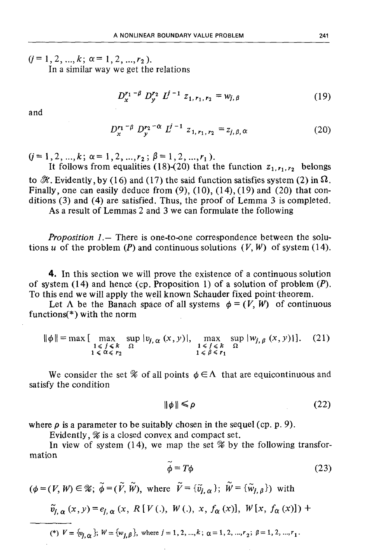$(j=1,2,...,k; \alpha=1,2,...,r_2).$ 

In a similar way we get the relations

$$
D_{x}^{r_1-\beta} D_{y}^{r_2} L^{j-1} z_{1, r_1, r_2} = w_{j, \beta}
$$
 (19)

and

$$
D_{x}^{r_1-\beta} D_{y}^{r_2-\alpha} L^{j-1} z_{1, r_1, r_2} = z_{j, \beta, \alpha} \tag{20}
$$

 $(j=1,2,...,k; \alpha=1,2,...,r_2; \beta=1,2,...,r_1).$ 

It follows from equalities (18)-(20) that the function  $z_1, r_1, r_2$  belongs to  $\mathscr K$ . Evidently, by (16) and (17) the said function satisfies system (2) in  $\Omega$ . Finally, one can easily deduce from  $(9)$ ,  $(10)$ ,  $(14)$ ,  $(19)$  and  $(20)$  that conditions (3) and (4) are satisfied. Thus, the proof of Lemma 3 is completed.

As a result of Lemmas 2 and 3 we can formulate the following

*Proposition 1.—* There is one-to-one correspondence between the solutions u of the problem  $(P)$  and continuous solutions  $(V, W)$  of system (14).

4. In this section we will prove the existence of a continuous solution of system  $(14)$  and hence (cp. Proposition 1) of a solution of problem  $(P)$ . To this end we will apply the well known Schauder fixed point-theorem.

Let  $\Lambda$  be the Banach space of all systems  $\phi = (V, W)$  of continuous functions(\*) with the norm

$$
\|\phi\| = \max \left[ \max_{\substack{1 \leq j \leq k \\ 1 \leq \alpha \leq r_2}} \sup_{\Omega} |v_{j,\alpha}(x, y)|, \max_{\substack{1 \leq j \leq k \\ 1 \leq \beta \leq r_1}} \sup_{\Omega} |w_{j,\beta}(x, y)| \right]. \tag{21}
$$

We consider the set  $\mathscr X$  of all points  $\phi \in \Lambda$  that are equicontinuous and satisfy the condition

$$
\|\phi\| \leqslant \rho \tag{22}
$$

where  $\rho$  is a parameter to be suitably chosen in the sequel (cp. p. 9).

Evidently, *%* is a closed convex and compact set.

In view of system (14), we map the set  $\mathscr G$  by the following transformation

$$
\widetilde{\phi} = T\phi \tag{23}
$$

 $(\phi = (V, W) \in \mathcal{X}; \ \tilde{\phi} = (\tilde{V}, \tilde{W})$ , where  $\tilde{V} = {\tilde{v}_i} \times \tilde{W} = {\tilde{w}_i} \times \tilde{W}$ 

$$
\tilde{v}_{j,\alpha}(x, y) = e_{j,\alpha}(x, R[V(.), W(.), x, f_{\alpha}(x)], W[x, f_{\alpha}(x)])
$$

(\*)  $V = \{v_{i,\alpha}\}; W = \{w_{i,\beta}\}\text{, where } j = 1, 2, ..., k; \alpha = 1, 2, ...,r_2; \beta = 1, 2, ...,r_1.$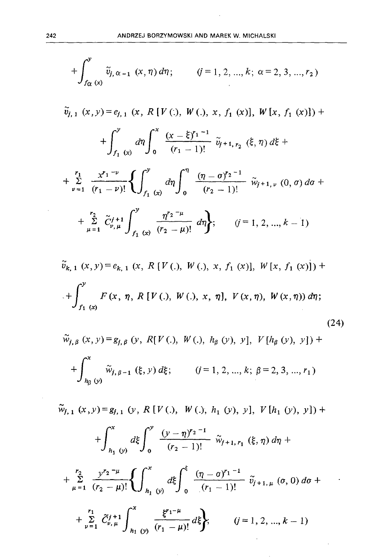$$
+\int_{f_{\alpha}}^{y} \tilde{v}_{j,\alpha-1}(x,\eta) d\eta; \qquad (j=1,2,...,k; \alpha=2,3,...,r_2)
$$
  

$$
\tilde{v}_{j,1}(x,y) = e_{j,1}(x, R[V(.), W(.), x, f_1(x)], W[x, f_1(x)]) +
$$

$$
+\int_{f_1(x)}^{y} d\eta \int_{0}^{x} \frac{(x-\xi)^{r_1-1}}{(r_1-1)!} \tilde{v}_{j+1,r_2}(x,\eta) d\xi +
$$

$$
+\sum_{\nu=1}^{r_1} \frac{x^{r_1-\nu}}{(r_1-\nu)!} \left\{ \int_{f_1(x)}^{y} d\eta \int_{0}^{\eta} \frac{(\eta-\sigma)^{r_2-1}}{(r_2-1)!} \tilde{w}_{j+1,\nu}(0,\sigma) d\sigma +
$$

$$
+\sum_{\mu=1}^{r_2} \tilde{C}_{\nu,\mu}^{j+1} \int_{f_1(x)}^{y} \frac{\eta^{r_2-\mu}}{(r_2-\mu)!} d\eta \right\}; \qquad (j=1,2,...,k-1)
$$

$$
\tilde{v}_{k, 1}(x, y) = e_{k, 1}(x, R[V(.), W(.), x, f_1(x)], W[x, f_1(x)]) +
$$
  
+ 
$$
\int_{f_1(x)}^{y} F(x, \eta, R[V(.), W(.), x, \eta], V(x, \eta), W(x, \eta)) d\eta;
$$
 (24)

$$
\widetilde{w}_{j,\beta} (x, y) = g_{j,\beta} (y, R[V(.), W(.), h_{\beta} (y), y], V[h_{\beta} (y), y]) +
$$
  
+ 
$$
\int_{h_{\beta} (y)}^{x} \widetilde{w}_{j,\beta-1} (\xi, y) d\xi; \qquad (j = 1, 2, ..., k; \beta = 2, 3, ..., r_1)
$$

 $\tilde{w}_{j, 1} (x, y) = g_{j, 1} (y, R[V(.), W(.), h_1 (y), y], V[h_1 (y), y]) +$ 

$$
+\int_{h_1}^x \int_0^y \frac{(y-\eta)^{r_2-1}}{(r_2-1)!} \tilde{w}_{j+1,\,r_1}(\xi,\eta) d\eta +
$$

$$
+\sum_{\mu=1}^{r_2}\frac{y^{r_2-\mu}}{(r_2-\mu)!}\left\{\int_{h_1}^x\omega\,d\xi\right\}_0^{\xi}\frac{(\eta-\sigma)^{r_1-1}}{(r_1-1)!}\widetilde{v}_{j+1,\mu}(\sigma,0)\,d\sigma\,+\,\\
$$

$$
+\sum_{\nu=1}^{r_1} \tilde{C}_{\nu,\mu}^{j+1} \int_{h_1}^x \frac{\xi^{r_1-\mu}}{r_1-\mu!} d\xi; \qquad (j=1,2,...,k-1)
$$

 $\bar{z}$ 

 $\mathbf{r}$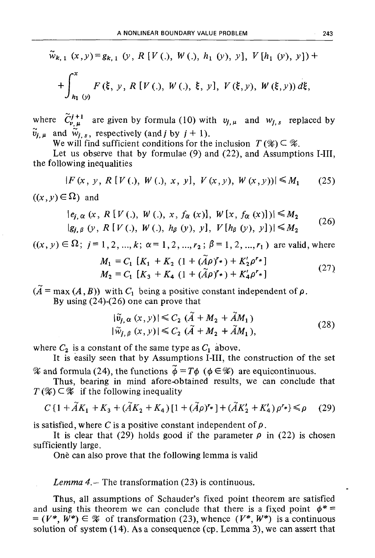$$
\tilde{w}_{k,1}(x,y) = g_{k,1}(y, R[V(.), W(.), h_1(y), y], V[h_1(y), y]) +
$$
  
+
$$
\int_{h_1(y)}^{x} F(\xi, y, R[V(.), W(.), \xi, y], V(\xi, y), W(\xi, y)) d\xi,
$$

where  $\tilde{C}_{\nu,\mu}^{j+1}$  are given by formula (10) with  $v_{j,\mu}$  and  $w_{j,s}$  replaced by  $\widetilde{v}_{i,k}$  and  $\widetilde{w}_{i,s}$ , respectively (and *j* by  $j+1$ ).

We will find sufficient conditions for the inclusion  $T(\mathscr{X}) \subseteq \mathscr{X}$ .

Let us observe that by formulae (9) and (22), and Assumptions I-III, the following inequalities

$$
|F(x, y, R[V(.), W(.), x, y], V(x, y), W(x, y))| \le M_1
$$
 (25)

 $((x, y) \in \Omega)$  and

$$
|e_{j,\alpha}(x, R[V(.), W(.), x, f_{\alpha}(x)], W[x, f_{\alpha}(x)])| \le M_2
$$
  
\n
$$
|g_{j,\beta}(y, R[V(.), W(.), h_{\beta}(y), y], V[h_{\beta}(y), y])| \le M_2
$$
 (26)

 $((x, y) \in \Omega; j = 1, 2, ..., k; \alpha = 1, 2, ..., r_2; \beta = 1, 2, ..., r_1)$  are valid, where

$$
M_1 = C_1 [K_1 + K_2 (1 + (\tilde{A}\rho)^{r_*}) + K'_2 \rho^{r_*}]
$$
  
\n
$$
M_2 = C_1 [K_3 + K_4 (1 + (\tilde{A}\rho)^{r_*}) + K'_4 \rho^{r_*}]
$$
\n(27)

 $(A = \max(A, B))$  with  $C_1$  being a positive constant independent of  $\rho$ .

By using (24)-(26) one can prove that

$$
|\tilde{v}_{j,\alpha}(x,y)| \leq C_2 (\tilde{A} + M_2 + \tilde{A}M_1)
$$
  

$$
|\tilde{w}_{j,\beta}(x,y)| \leq C_2 (\tilde{A} + M_2 + \tilde{A}M_1),
$$
 (28)

where  $C_2$  is a constant of the same type as  $C_1$  above.

It is easily seen that by Assumptions I-III, the construction of the set  $\mathscr X$  and formula (24), the functions  $\tilde{\phi} = T\phi$  ( $\phi \in \mathscr X$ ) are equicontinuous.

Thus, bearing in mind afore-obtained results, we can conclude that  $T(\mathscr{X}) \subset \mathscr{X}$  if the following inequality

$$
\mathcal{R}_1 \subset \mathcal{R}
$$
 if the following inequality  

$$
C\{1 + \tilde{A}K_1 + K_3 + (\tilde{A}K_2 + K_4)\{1 + (\tilde{A}\rho)^{r_*}\} + (\tilde{A}K'_2 + K'_4)\rho^{r_*}\} \le \rho
$$
 (29)

is satisfied, where C is a positive constant independent of  $\rho$ .

It is clear that (29) holds good if the parameter  $\rho$  in (22) is chosen sufficiently large.

One can also prove that the following lemma is valid

## *Lemma 4.-* The transformation (23) is continuous.

Thus, all assumptions of Schauder's fixed point theorem are satisfied and using this theorem we can conclude that there is a fixed point  $\phi^*$  =  $= (V^*, W^*) \in \mathcal{X}$  of transformation (23), whence  $(V^*, W^*)$  is a continuous solution of system (14). As a consequence (cp. Lemma 3), we can assert that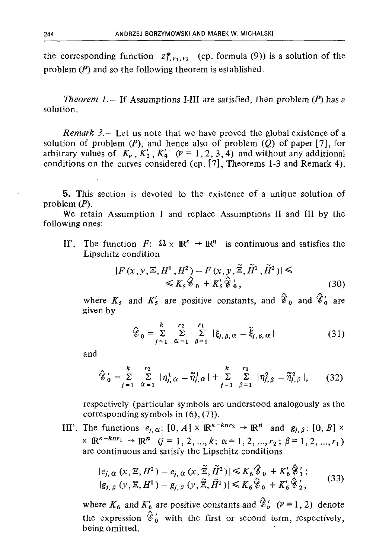the corresponding function  $z_{1, r_1, r_2}^*$  (cp. formula (9)) is a solution of the problem  $(P)$  and so the following theorem is established.

*Theorem 1.* – If Assumptions I-III are satisfied, then problem  $(P)$  has a solution.

*Remark*  $3 -$  Let us note that we have proved the global existence of a solution of problem  $(P)$ , and hence also of problem  $(Q)$  of paper [7], for arbitrary values of  $K_{\nu}$ ,  $K'_{2}$ ,  $K'_{4}$  ( $\nu = 1, 2, 3, 4$ ) and without any additional conditions on the curves considered (cp. [7], Theorems 1-3 and Remark 4).

**5.** This section is devoted to the existence of a unique solution of problem  $(P)$ .

We retain Assumption I and replace Assumptions II and III by the following ones:

The function  $F: \Omega \times \mathbb{R}^k \to \mathbb{R}^n$  is continuous and satisfies the  $\Pi'$ . Lipschitz condition

$$
|F(x, y, \Xi, H^1, H^2) - F(x, y, \tilde{\Xi}, \tilde{H}^1, \tilde{H}^2)| \leq \leq K_S \hat{\mathscr{C}}_0 + K'_s \hat{\mathscr{C}}'_0,
$$
\n(30)

where  $K_5$  and  $K'_5$  are positive constants, and  $\hat{\mathscr{C}}_0$  and  $\hat{\mathscr{C}}'_0$  are given by

$$
\hat{\mathscr{C}}_0 = \sum_{j=1}^k \sum_{\alpha=1}^{r_2} \sum_{\beta=1}^{r_1} |\xi_{j,\beta,\alpha} - \tilde{\xi}_{j,\beta,\alpha}| \tag{31}
$$

and

$$
\hat{\mathscr{C}}_0' = \sum_{j=1}^k \sum_{\alpha=1}^{r_2} |\eta_{j,\alpha}^1 - \tilde{\eta}_{j,\alpha}^1| + \sum_{j=1}^k \sum_{\beta=1}^{r_1} |\eta_{j,\beta}^2 - \tilde{\eta}_{j,\beta}^2|, \qquad (32)
$$

respectively (particular symbols are understood analogously as the corresponding symbols in  $(6)$ ,  $(7)$ ).

III'. The functions  $e_{i,\alpha}$ : [0, A]  $\times \mathbb{R}^{\kappa-knr_2} \to \mathbb{R}^n$  and  $g_{i,\beta}$ : [0, B]  $\times$  $\times \mathbb{R}^{\kappa - knr_1} \rightarrow \mathbb{R}^n$   $(j = 1, 2, ..., k; \alpha = 1, 2, ..., r_2; \beta = 1, 2, ..., r_1)$ are continuous and satisfy the Lipschitz conditions

$$
|e_{j,\alpha}(x,\Xi,H^2) - e_{j,\alpha}(x,\widetilde{\Xi},\widetilde{H}^2)| \leq K_6 \widehat{\mathscr{C}}_0 + K'_6 \widehat{\mathscr{C}}'_1; |g_{j,\beta}(y,\Xi,H^1) - g_{j,\beta}(y,\widetilde{\Xi},\widetilde{H}^1)| \leq K_6 \widehat{\mathscr{C}}_0 + K'_6 \widehat{\mathscr{C}}'_2,
$$
 (33)

where  $K_6$  and  $K'_6$  are positive constants and  $\hat{\mathcal{E}}'_{\nu}$  ( $\nu = 1, 2$ ) denote the expression  $\hat{\xi}'_0$  with the first or second term, respectively, being omitted.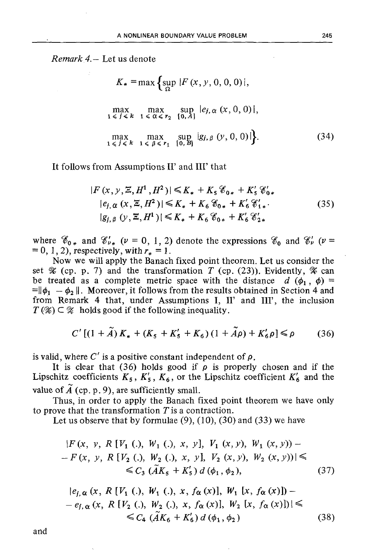*Remark 4.—* Let us denote

$$
K_{*} = \max \left\{ \sup_{\Omega} |F(x, y, 0, 0, 0)|, \right\}
$$
  
\n
$$
\max_{1 \leq j \leq k} \max_{1 \leq \alpha \leq r_{2}} \sup_{\{0, A\}} |e_{j, \alpha}(x, 0, 0)|,
$$
  
\n
$$
\max_{1 \leq j \leq k} \max_{1 \leq \beta \leq r_{1}} \sup_{\{0, B\}} |g_{j, \beta}(y, 0, 0)| \right\}.
$$
 (34)

It follows from Assumptions II' and III' that

$$
|F(x, y, \Xi, H^1, H^2)| \le K_* + K_5 \mathcal{C}_{0*} + K'_5 \mathcal{C}'_{0*}
$$
  
\n
$$
|e_{j, \alpha}(x, \Xi, H^2)| \le K_* + K_6 \mathcal{C}_{0*} + K'_6 \mathcal{C}'_{1*}.
$$
  
\n
$$
|g_{j, \beta}(y, \Xi, H^1)| \le K_* + K_6 \mathcal{C}_{0*} + K'_6 \mathcal{C}'_{2*}
$$
  
\n(35)

where  $\mathscr{C}_{0*}$  and  $\mathscr{C}'_{\nu*}$  ( $\nu = 0, 1, 2$ ) denote the expressions  $\mathscr{C}_0$  and  $\mathscr{C}'_{\nu}$  ( $\nu =$  $= 0, 1, 2$ , respectively, with  $r_* = 1$ .

Now we will apply the Banach fixed point theorem. Let us consider the set  $\mathscr X$  (cp. p. 7) and the transformation *T* (cp. (23)). Evidently,  $\mathscr X$  can be treated as a complete metric space with the distance  $d(\phi_1, \phi)$  $=$  $\|\phi_1 - \phi_2\|$ . Moreover, it follows from the results obtained in Section 4 and from Remark 4 that, under Assumptions I, II' and III', the inclusion  $T(\mathscr{X}) \subset \mathscr{X}$  holds good if the following inequality.

$$
C'[(1+\tilde{A})K_{*} + (K_{5} + K'_{5} + K_{6}) (1+\tilde{A}\rho) + K'_{6}\rho] \le \rho
$$
 (36)

is valid, where  $C'$  is a positive constant independent of  $\rho$ .

It is clear that (36) holds good if  $\rho$  is properly chosen and if the Lipschitz coefficients  $K_5$ ,  $K'_5$ ,  $K_6$ , or the Lipschitz coefficient  $K'_6$  and the value of  $\widetilde{A}$  (cp. p. 9), are sufficiently small.

Thus, in order to apply the Banach fixed point theorem we have only to prove that the transformation *T is a* contraction.

Let us observe that by formulae  $(9)$ ,  $(10)$ ,  $(30)$  and  $(33)$  we have

$$
|F(x, y, R[V_1(.), W_1(.), x, y], V_1(x, y), W_1(x, y)) - F(x, y, R[V_2(.), W_2(.), x, y], V_2(x, y), W_2(x, y))| \le \le C_3 (\widetilde{A}K_5 + K'_5) d(\phi_1, \phi_2),
$$
 (37)

$$
|e_{j,\alpha}(x, R[V_1(.), W_1(.), x, f_{\alpha}(x)], W_1[x, f_{\alpha}(x)]) --e_{j,\alpha}(x, R[V_2(.), W_2(.), x, f_{\alpha}(x)], W_2[x, f_{\alpha}(x)])| \le \leq C_4 (\widetilde{A}K_6 + K'_6) d(\phi_1, \phi_2)
$$
\n(38)

and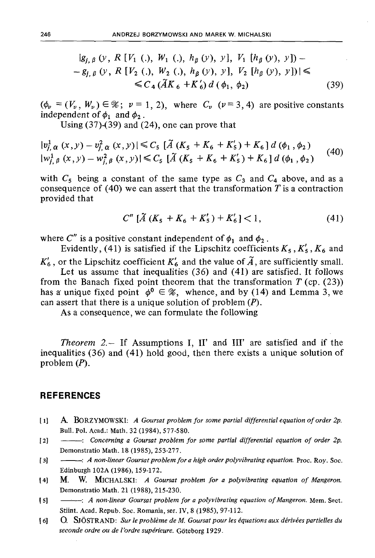$g_{j, \beta}(y, R[V_1]), W_1(), h_{\beta}(y), y], V_1[h_{\beta}(y), y])$  $-g_{f,\beta}(y, R[V_2(.), W_2(.), h_{\beta}(y), y], V_2[h_{\beta}(y), y])\leq$  $\leq C_4 (\tilde{A}K_6 + K'_6) d(\phi_1, \phi_2)$  (39)

 $(\phi_{\nu} = (V_{\nu}, W_{\nu}) \in \mathcal{X}; \ \nu = 1, 2)$ , where  $C_{\nu}$  ( $\nu = 3, 4$ ) are positive constants independent of  $\phi_1$  and  $\phi_2$ .

Using  $(37)-(39)$  and  $(24)$ , one can prove that

$$
|v_{j,\alpha}^{1}(x,y) - v_{j,\alpha}^{2}(x,y)| \leq C_{5} \left[\tilde{A}(K_{5} + K_{6} + K_{5}') + K_{6}\right] d(\phi_{1}, \phi_{2})
$$
  

$$
|w_{j,\beta}^{1}(x,y) - w_{j,\beta}^{2}(x,y)| \leq C_{5} \left[\tilde{A}(K_{5} + K_{6} + K_{5}') + K_{6}\right] d(\phi_{1}, \phi_{2})
$$
 (40)

with  $C_5$  being a constant of the same type as  $C_3$  and  $C_4$  above, and as a consequence of (40) we can assert that the transformation *T* is a contraction provided that

$$
C''\left[\tilde{A}\left(K_5+K_6+K_5'\right)+K_6'\right]<1,\tag{41}
$$

where  $C''$  is a positive constant independent of  $\phi_1$  and  $\phi_2$ .

Evidently, (41) is satisfied if the Lipschitz coefficients  $K_5$ ,  $K'_5$ ,  $K_6$  and  $K'_6$ , or the Lipschitz coefficient  $K'_6$  and the value of  $\tilde{A}$ , are sufficiently small.

Let us assume that inequalities (36) and (41) are satisfied. It follows from the Banach fixed point theorem that the transformation  $T$  (cp. (23)) has a unique fixed point  $\phi^0 \in \mathcal{X}$ , whence, and by (14) and Lemma 3, we can assert that there is a unique solution of problem *(P).*

As a consequence, we can formulate the following

*Theorem* 2.— If Assumptions I, II' and III' are satisfied and if the inequalities (36) and (41) hold good, then there exists a unique solution of problem *(P).*

## **REFERENCES**

- [1] A BORZYMOWSKI: *A Goursat problem for some partial differential equation of order 2p.* Bull. Pol. Acad.: Math. 32 (1984), 577-580.
- [2]  $\longrightarrow$ : Concerning a Goursat problem for some partial differential equation of order 2p. Demonstratio Math. 18 (1985), 253-277.
- [3] :*A non-linear Goursat problem for a high order polyvibrating equation. Proc. Roy. Soc.* Edinburgh 102A (1986), 159-172.
- [4] M. W. MlCHALSKI: *A Goursat problem for a polyvibrating equation of Mangeron.* Demonstratio Math. 21 (1988), 215-230.
- [5] ------- A non-linear Goursat problem for a polyvibrating equation of Mangeron. Mem. Sect. Stiint. Acad. Repub. Soc. Romania, ser. IV, 8 (1985), 97-112.
- [6] O. SJÖSTRAND: *Sur le problème de M. Goursat pour les équations aux dérivées partielles du seconde ordre ou de l'ordre supérieure.* Göteborg 1929.